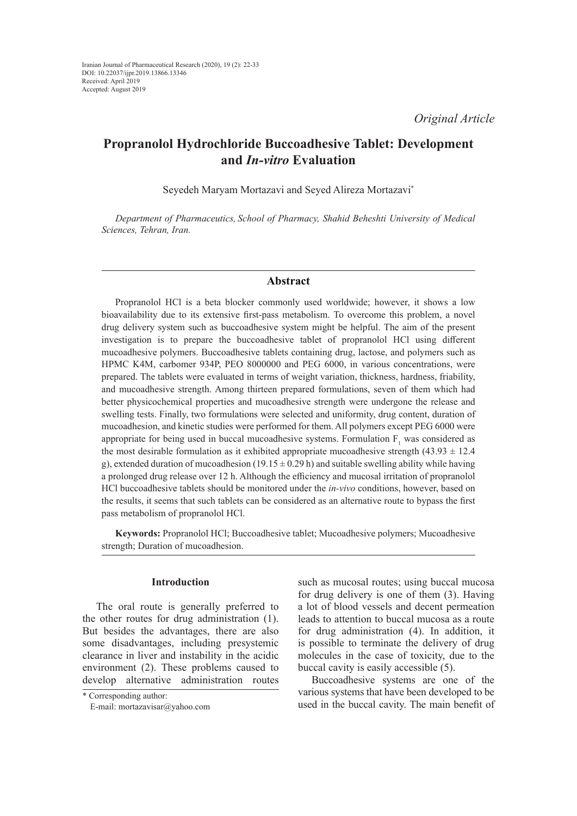*Original Article*

# **Propranolol Hydrochloride Buccoadhesive Tablet: Development and** *In-vitro* **Evaluation**

Seyedeh Maryam Mortazavi and Seyed Alireza Mortazavi\*

*Department of Pharmaceutics, School of Pharmacy, Shahid Beheshti University of Medical Sciences, Tehran, Iran.*

# **Abstract**

Propranolol HCl is a beta blocker commonly used worldwide; however, it shows a low bioavailability due to its extensive first-pass metabolism. To overcome this problem, a novel drug delivery system such as buccoadhesive system might be helpful. The aim of the present investigation is to prepare the buccoadhesive tablet of propranolol HCl using different mucoadhesive polymers. Buccoadhesive tablets containing drug, lactose, and polymers such as HPMC K4M, carbomer 934P, PEO 8000000 and PEG 6000, in various concentrations, were prepared. The tablets were evaluated in terms of weight variation, thickness, hardness, friability, and mucoadhesive strength. Among thirteen prepared formulations, seven of them which had better physicochemical properties and mucoadhesive strength were undergone the release and swelling tests. Finally, two formulations were selected and uniformity, drug content, duration of mucoadhesion, and kinetic studies were performed for them. All polymers except PEG 6000 were appropriate for being used in buccal mucoadhesive systems. Formulation  $F_1$  was considered as the most desirable formulation as it exhibited appropriate mucoadhesive strength  $(43.93 \pm 12.4)$ g), extended duration of mucoadhesion  $(19.15 \pm 0.29 \text{ h})$  and suitable swelling ability while having a prolonged drug release over 12 h. Although the efficiency and mucosal irritation of propranolol HCl buccoadhesive tablets should be monitored under the *in-vivo* conditions, however, based on the results, it seems that such tablets can be considered as an alternative route to bypass the first pass metabolism of propranolol HCl.

**Keywords:** Propranolol HCl; Buccoadhesive tablet; Mucoadhesive polymers; Mucoadhesive strength; Duration of mucoadhesion.

### **Introduction**

The oral route is generally preferred to the other routes for drug administration (1). But besides the advantages, there are also some disadvantages, including presystemic clearance in liver and instability in the acidic environment (2). These problems caused to develop alternative administration routes

\* Corresponding author: E-mail: mortazavisar@yahoo.com such as mucosal routes; using buccal mucosa for drug delivery is one of them (3). Having a lot of blood vessels and decent permeation leads to attention to buccal mucosa as a route for drug administration (4). In addition, it is possible to terminate the delivery of drug molecules in the case of toxicity, due to the buccal cavity is easily accessible (5).

Buccoadhesive systems are one of the various systems that have been developed to be used in the buccal cavity. The main benefit of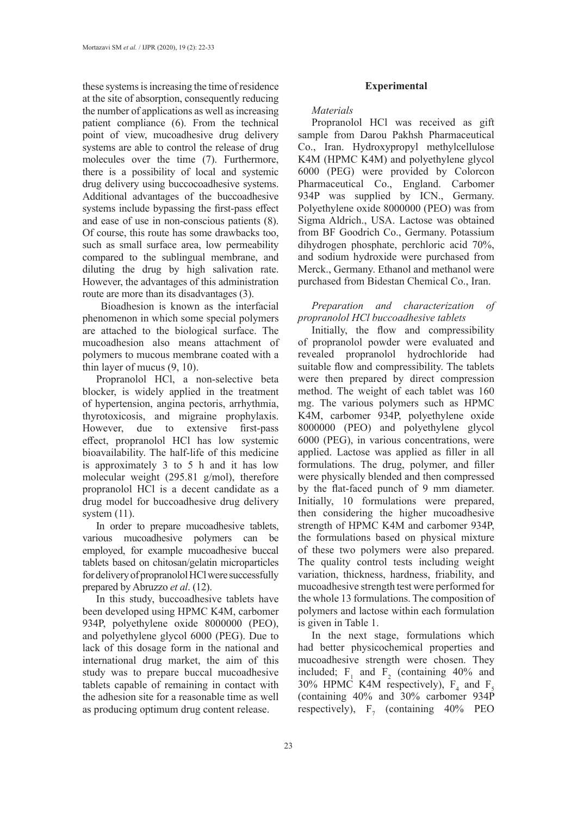these systems is increasing the time of residence at the site of absorption, consequently reducing the number of applications as well as increasing patient compliance (6). From the technical point of view, mucoadhesive drug delivery systems are able to control the release of drug molecules over the time (7). Furthermore, there is a possibility of local and systemic drug delivery using buccocoadhesive systems. Additional advantages of the buccoadhesive systems include bypassing the first-pass effect and ease of use in non-conscious patients (8). Of course, this route has some drawbacks too, such as small surface area, low permeability compared to the sublingual membrane, and diluting the drug by high salivation rate. However, the advantages of this administration route are more than its disadvantages (3).

 Bioadhesion is known as the interfacial phenomenon in which some special polymers are attached to the biological surface. The mucoadhesion also means attachment of polymers to mucous membrane coated with a thin layer of mucus (9, 10).

Propranolol HCl, a non-selective beta blocker, is widely applied in the treatment of hypertension, angina pectoris, arrhythmia, thyrotoxicosis, and migraine prophylaxis. However, due to extensive first-pass effect, propranolol HCl has low systemic bioavailability. The half-life of this medicine is approximately 3 to 5 h and it has low molecular weight (295.81 g/mol), therefore propranolol HCl is a decent candidate as a drug model for buccoadhesive drug delivery system  $(11)$ .

In order to prepare mucoadhesive tablets, various mucoadhesive polymers can be employed, for example mucoadhesive buccal tablets based on chitosan/gelatin microparticles for delivery of propranolol HCl were successfully prepared by Abruzzo *et al*. (12).

In this study, buccoadhesive tablets have been developed using HPMC K4M, carbomer 934P, polyethylene oxide 8000000 (PEO), and polyethylene glycol 6000 (PEG). Due to lack of this dosage form in the national and international drug market, the aim of this study was to prepare buccal mucoadhesive tablets capable of remaining in contact with the adhesion site for a reasonable time as well as producing optimum drug content release.

### **Experimental**

*Materials*

Propranolol HCl was received as gift sample from Darou Pakhsh Pharmaceutical Co., Iran. Hydroxypropyl methylcellulose K4M (HPMC K4M) and polyethylene glycol 6000 (PEG) were provided by Colorcon Pharmaceutical Co., England. Carbomer 934P was supplied by ICN., Germany. Polyethylene oxide 8000000 (PEO) was from Sigma Aldrich., USA. Lactose was obtained from BF Goodrich Co., Germany. Potassium dihydrogen phosphate, perchloric acid 70%, and sodium hydroxide were purchased from Merck., Germany. Ethanol and methanol were purchased from Bidestan Chemical Co., Iran.

*Preparation and characterization of propranolol HCl buccoadhesive tablets*

Initially, the flow and compressibility of propranolol powder were evaluated and revealed propranolol hydrochloride had suitable flow and compressibility. The tablets were then prepared by direct compression method. The weight of each tablet was 160 mg. The various polymers such as HPMC K4M, carbomer 934P, polyethylene oxide 8000000 (PEO) and polyethylene glycol 6000 (PEG), in various concentrations, were applied. Lactose was applied as filler in all formulations. The drug, polymer, and filler were physically blended and then compressed by the flat-faced punch of 9 mm diameter. Initially, 10 formulations were prepared, then considering the higher mucoadhesive strength of HPMC K4M and carbomer 934P, the formulations based on physical mixture of these two polymers were also prepared. The quality control tests including weight variation, thickness, hardness, friability, and mucoadhesive strength test were performed for the whole 13 formulations. The composition of polymers and lactose within each formulation is given in Table 1.

In the next stage, formulations which had better physicochemical properties and mucoadhesive strength were chosen. They included;  $F_1$  and  $F_2$  (containing 40% and 30% HPMC K4M respectively),  $F_4$  and  $F_5$ (containing 40% and 30% carbomer 934P respectively),  $F_7$  (containing 40% PEO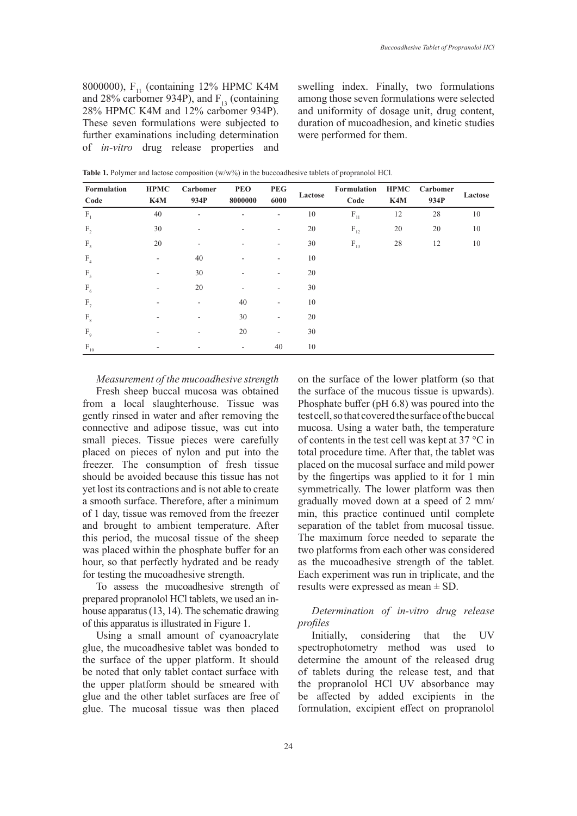8000000),  $F_{11}$  (containing 12% HPMC K4M and 28% carbomer 934P), and  $F_{13}$  (containing 28% HPMC K4M and 12% carbomer 934P). These seven formulations were subjected to further examinations including determination of *in-vitro* drug release properties and swelling index. Finally, two formulations among those seven formulations were selected and uniformity of dosage unit, drug content, duration of mucoadhesion, and kinetic studies were performed for them.

| Formulation<br>Code | <b>HPMC</b><br>K4M | Carbomer<br>934P | <b>PEO</b><br>8000000 | <b>PEG</b><br>6000       | Lactose | Formulation<br>Code                   | <b>HPMC</b><br>K4M | Carbomer<br>934P | Lactose |
|---------------------|--------------------|------------------|-----------------------|--------------------------|---------|---------------------------------------|--------------------|------------------|---------|
| $F_1$               | 40                 | ۰                |                       | ٠                        | 10      | $\mathbf{F}_{\scriptscriptstyle{11}}$ | 12                 | 28               | 10      |
| F <sub>2</sub>      | 30                 | ۰                |                       | $\sim$                   | 20      | $\mathbf{F}_{\scriptscriptstyle{12}}$ | 20                 | 20               | 10      |
| $F_3$               | 20                 | ۰                |                       | ۰                        | 30      | $\mathrm{F}_{\scriptscriptstyle{13}}$ | 28                 | 12               | 10      |
| F <sub>4</sub>      |                    | 40               |                       | ٠                        | 10      |                                       |                    |                  |         |
| $F_{5}$             |                    | 30               |                       |                          | 20      |                                       |                    |                  |         |
| $F_{6}$             |                    | 20               |                       | ٠                        | 30      |                                       |                    |                  |         |
| $F_{7}$             |                    | ۰                | 40                    | $\overline{\phantom{a}}$ | 10      |                                       |                    |                  |         |
| $F_{8}$             |                    |                  | 30                    | $\overline{\phantom{a}}$ | 20      |                                       |                    |                  |         |
| F <sub>9</sub>      |                    | ۰                | 20                    | $\overline{\phantom{a}}$ | 30      |                                       |                    |                  |         |
| $F_{10}$            |                    |                  | ۰                     | 40                       | 10      |                                       |                    |                  |         |

Table 1. Polymer and lactose composition (w/w%) in the buccoadhesive tablets of propranolol HCl.

*Measurement of the mucoadhesive strength*

Fresh sheep buccal mucosa was obtained from a local slaughterhouse. Tissue was gently rinsed in water and after removing the connective and adipose tissue, was cut into small pieces. Tissue pieces were carefully placed on pieces of nylon and put into the freezer. The consumption of fresh tissue should be avoided because this tissue has not yet lost its contractions and is not able to create a smooth surface. Therefore, after a minimum of 1 day, tissue was removed from the freezer and brought to ambient temperature. After this period, the mucosal tissue of the sheep was placed within the phosphate buffer for an hour, so that perfectly hydrated and be ready for testing the mucoadhesive strength.

To assess the mucoadhesive strength of prepared propranolol HCl tablets, we used an inhouse apparatus (13, 14). The schematic drawing of this apparatus is illustrated in Figure 1.

Using a small amount of cyanoacrylate glue, the mucoadhesive tablet was bonded to the surface of the upper platform. It should be noted that only tablet contact surface with the upper platform should be smeared with glue and the other tablet surfaces are free of glue. The mucosal tissue was then placed

on the surface of the lower platform (so that the surface of the mucous tissue is upwards). Phosphate buffer (pH 6.8) was poured into the test cell, so that covered the surface of the buccal mucosa. Using a water bath, the temperature of contents in the test cell was kept at 37 °C in total procedure time. After that, the tablet was placed on the mucosal surface and mild power by the fingertips was applied to it for 1 min symmetrically. The lower platform was then gradually moved down at a speed of 2 mm/ min, this practice continued until complete separation of the tablet from mucosal tissue. The maximum force needed to separate the two platforms from each other was considered as the mucoadhesive strength of the tablet. Each experiment was run in triplicate, and the results were expressed as mean  $\pm$  SD.

# *Determination of in-vitro drug release profiles*

Initially, considering that the UV spectrophotometry method was used to determine the amount of the released drug of tablets during the release test, and that the propranolol HCl UV absorbance may be affected by added excipients in the formulation, excipient effect on propranolol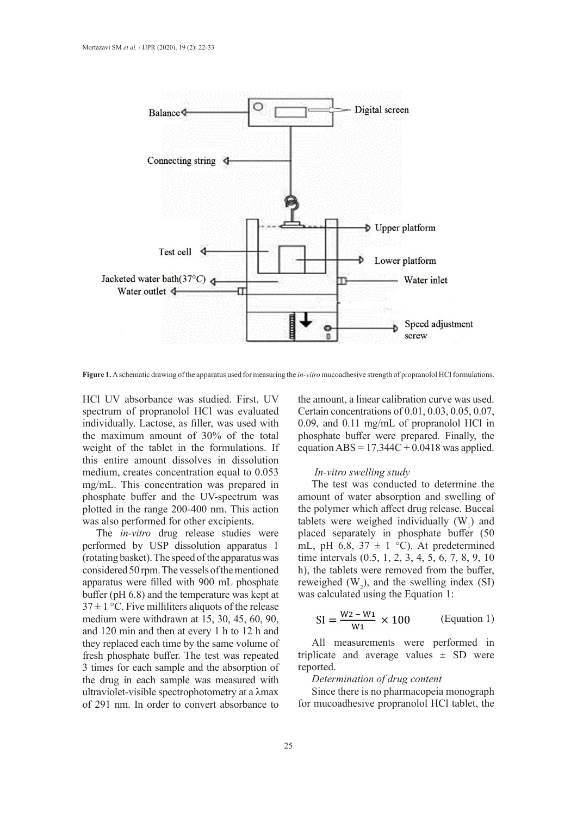

**Figure 1.** A schematic drawing of the apparatus used for measuring the *in-vitro* mucoadhesive strength of propranolol HCl formulations.

HCl UV absorbance was studied. First, UV spectrum of propranolol HCl was evaluated individually. Lactose, as filler, was used with the maximum amount of 30% of the total weight of the tablet in the formulations. If this entire amount dissolves in dissolution medium, creates concentration equal to 0.053 mg/mL. This concentration was prepared in phosphate buffer and the UV-spectrum was plotted in the range 200-400 nm. This action was also performed for other excipients.

The *in-vitro* drug release studies were performed by USP dissolution apparatus 1 (rotating basket). The speed of the apparatus was considered 50 rpm. The vessels of the mentioned apparatus were filled with 900 mL phosphate buffer (pH 6.8) and the temperature was kept at  $37 \pm 1$  °C. Five milliliters aliquots of the release medium were withdrawn at 15, 30, 45, 60, 90, and 120 min and then at every 1 h to 12 h and they replaced each time by the same volume of fresh phosphate buffer. The test was repeated 3 times for each sample and the absorption of the drug in each sample was measured with ultraviolet-visible spectrophotometry at a λmax of 291 nm. In order to convert absorbance to

the amount, a linear calibration curve was used. Certain concentrations of 0.01, 0.03, 0.05, 0.07, 0.09, and 0.11 mg/mL of propranolol HCl in phosphate buffer were prepared. Finally, the equation  $ABS = 17.344C + 0.0418$  was applied.

### *In-vitro swelling study*

The test was conducted to determine the amount of water absorption and swelling of the polymer which affect drug release. Buccal tablets were weighed individually  $(W_1)$  and placed separately in phosphate buffer (50 mL, pH 6.8,  $37 \pm 1$  °C). At predetermined time intervals (0.5, 1, 2, 3, 4, 5, 6, 7, 8, 9, 10 h), the tablets were removed from the buffer, reweighed  $(W_2)$ , and the swelling index (SI) was calculated using the Equation 1:

$$
SI = \frac{W2 - W1}{W1} \times 100
$$
 (Equation 1)

All measurements were performed in triplicate and average values  $\pm$  SD were reported.

### *Determination of drug content*

Since there is no pharmacopeia monograph for mucoadhesive propranolol HCl tablet, the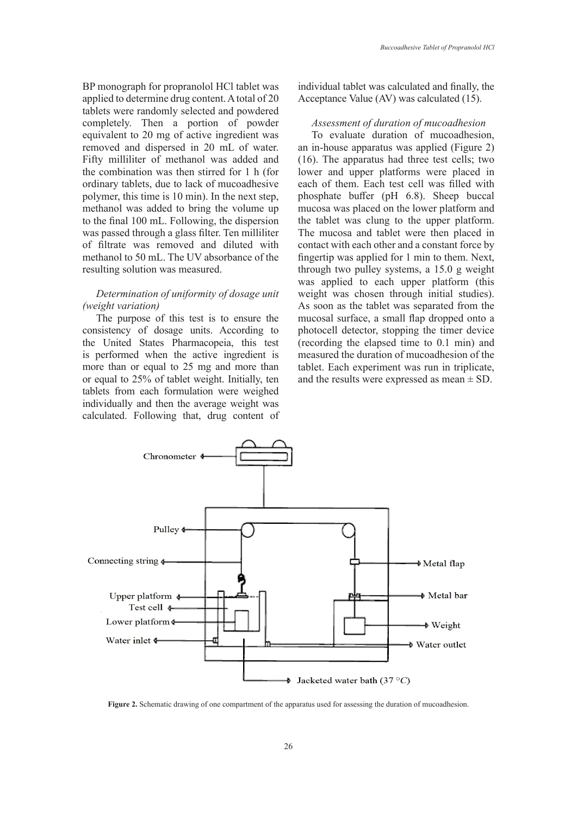BP monograph for propranolol HCl tablet was applied to determine drug content. A total of 20 tablets were randomly selected and powdered completely. Then a portion of powder equivalent to 20 mg of active ingredient was removed and dispersed in 20 mL of water. Fifty milliliter of methanol was added and the combination was then stirred for 1 h (for ordinary tablets, due to lack of mucoadhesive polymer, this time is 10 min). In the next step, methanol was added to bring the volume up to the final 100 mL. Following, the dispersion was passed through a glass filter. Ten milliliter of filtrate was removed and diluted with methanol to 50 mL. The UV absorbance of the resulting solution was measured.

### *Determination of uniformity of dosage unit (weight variation)*

The purpose of this test is to ensure the consistency of dosage units. According to the United States Pharmacopeia, this test is performed when the active ingredient is more than or equal to 25 mg and more than or equal to 25% of tablet weight. Initially, ten tablets from each formulation were weighed individually and then the average weight was calculated. Following that, drug content of

individual tablet was calculated and finally, the Acceptance Value (AV) was calculated (15).

# *Assessment of duration of mucoadhesion*

To evaluate duration of mucoadhesion, an in-house apparatus was applied (Figure 2) (16). The apparatus had three test cells; two lower and upper platforms were placed in each of them. Each test cell was filled with phosphate buffer (pH 6.8). Sheep buccal mucosa was placed on the lower platform and the tablet was clung to the upper platform. The mucosa and tablet were then placed in contact with each other and a constant force by fingertip was applied for 1 min to them. Next, through two pulley systems, a 15.0 g weight was applied to each upper platform (this weight was chosen through initial studies). As soon as the tablet was separated from the mucosal surface, a small flap dropped onto a photocell detector, stopping the timer device (recording the elapsed time to 0.1 min) and measured the duration of mucoadhesion of the tablet. Each experiment was run in triplicate, and the results were expressed as mean  $\pm$  SD.



**Figure 2.** Schematic drawing of one compartment of the apparatus used for assessing the duration of mucoadhesion.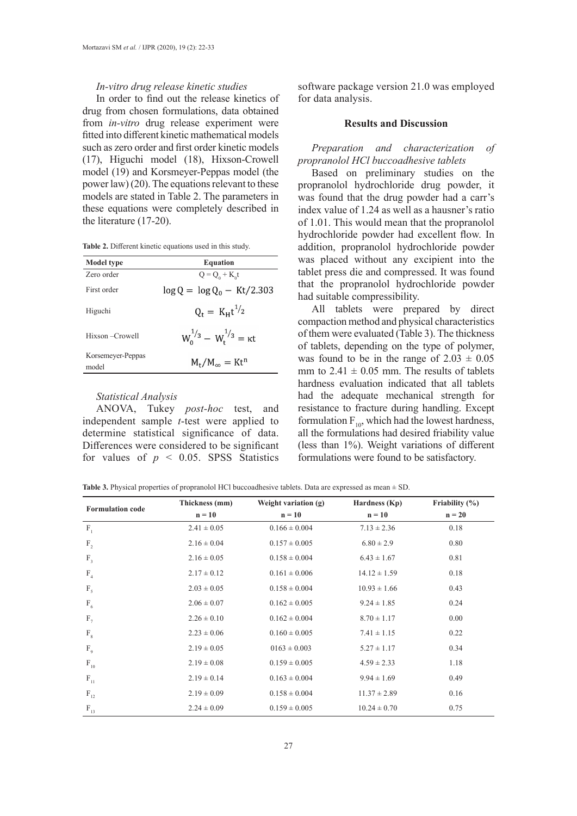### *In-vitro drug release kinetic studies*

In order to find out the release kinetics of drug from chosen formulations, data obtained from *in-vitro* drug release experiment were fitted into different kinetic mathematical models such as zero order and first order kinetic models (17), Higuchi model (18), Hixson-Crowell model (19) and Korsmeyer-Peppas model (the power law) (20). The equations relevant to these models are stated in Table 2. The parameters in these equations were completely described in the literature (17-20).

**Table 2.** Different kinetic equations used in this study.

| <b>Model</b> type | <b>Equation</b>                    |
|-------------------|------------------------------------|
| Zero order        | $Q = Q_0 + K_0 t$                  |
| First order       | $\log Q = \log Q_0 - Kt/2.303$     |
| Higuchi           | $Q_t = K_H t^{1/2}$                |
| Hixson – Crowell  | $W_0^{1/3} - W_*^{1/3} = \kappa t$ |
| Korsemeyer-Peppas | $M_t/M_{\infty} = Kt^n$            |
| model             |                                    |

### *Statistical Analysis*

ANOVA, Tukey *post-hoc* test, and independent sample *t*-test were applied to determine statistical significance of data. Differences were considered to be significant for values of  $p \leq 0.05$ . SPSS Statistics

software package version 21.0 was employed for data analysis.

# **Results and Discussion**

*Preparation and characterization of propranolol HCl buccoadhesive tablets*

Based on preliminary studies on the propranolol hydrochloride drug powder, it was found that the drug powder had a carr's index value of 1.24 as well as a hausner's ratio of 1.01. This would mean that the propranolol hydrochloride powder had excellent flow. In addition, propranolol hydrochloride powder was placed without any excipient into the tablet press die and compressed. It was found that the propranolol hydrochloride powder had suitable compressibility.

All tablets were prepared by direct compaction method and physical characteristics of them were evaluated (Table 3). The thickness of tablets, depending on the type of polymer, was found to be in the range of  $2.03 \pm 0.05$ mm to  $2.41 \pm 0.05$  mm. The results of tablets hardness evaluation indicated that all tablets had the adequate mechanical strength for resistance to fracture during handling. Except formulation  $F_{10}$ , which had the lowest hardness, all the formulations had desired friability value (less than 1%). Weight variations of different formulations were found to be satisfactory.

**Table 3.** Physical properties of propranolol HCl buccoadhesive tablets. Data are expressed as mean ± SD.

| <b>Formulation code</b>               | Thickness (mm)  | Weight variation (g) | Hardness (Kp)    | Friability (%) |
|---------------------------------------|-----------------|----------------------|------------------|----------------|
|                                       | $n = 10$        | $n = 10$             | $n = 10$         | $n = 20$       |
| $F_1$                                 | $2.41 \pm 0.05$ | $0.166 \pm 0.004$    | $7.13 \pm 2.36$  | 0.18           |
| $F_{2}$                               | $2.16 \pm 0.04$ | $0.157 \pm 0.005$    | $6.80 \pm 2.9$   | 0.80           |
| $F_3$                                 | $2.16 \pm 0.05$ | $0.158 \pm 0.004$    | $6.43 \pm 1.67$  | 0.81           |
| F <sub>4</sub>                        | $2.17 \pm 0.12$ | $0.161 \pm 0.006$    | $14.12 \pm 1.59$ | 0.18           |
| $F_{5}$                               | $2.03 \pm 0.05$ | $0.158 \pm 0.004$    | $10.93 \pm 1.66$ | 0.43           |
| $F_6$                                 | $2.06 \pm 0.07$ | $0.162 \pm 0.005$    | $9.24 \pm 1.85$  | 0.24           |
| $F_{7}$                               | $2.26 \pm 0.10$ | $0.162 \pm 0.004$    | $8.70 \pm 1.17$  | 0.00           |
| $F_{8}$                               | $2.23 \pm 0.06$ | $0.160 \pm 0.005$    | $7.41 \pm 1.15$  | 0.22           |
| F <sub>9</sub>                        | $2.19 \pm 0.05$ | $0163 \pm 0.003$     | $5.27 \pm 1.17$  | 0.34           |
| $\mathbf{F}_{\scriptscriptstyle{10}}$ | $2.19 \pm 0.08$ | $0.159 \pm 0.005$    | $4.59 \pm 2.33$  | 1.18           |
| $F_{11}$                              | $2.19 \pm 0.14$ | $0.163 \pm 0.004$    | $9.94 \pm 1.69$  | 0.49           |
| $\rm F_{12}$                          | $2.19 \pm 0.09$ | $0.158 \pm 0.004$    | $11.37 \pm 2.89$ | 0.16           |
| $\rm F_{_{13}}$                       | $2.24 \pm 0.09$ | $0.159 \pm 0.005$    | $10.24 \pm 0.70$ | 0.75           |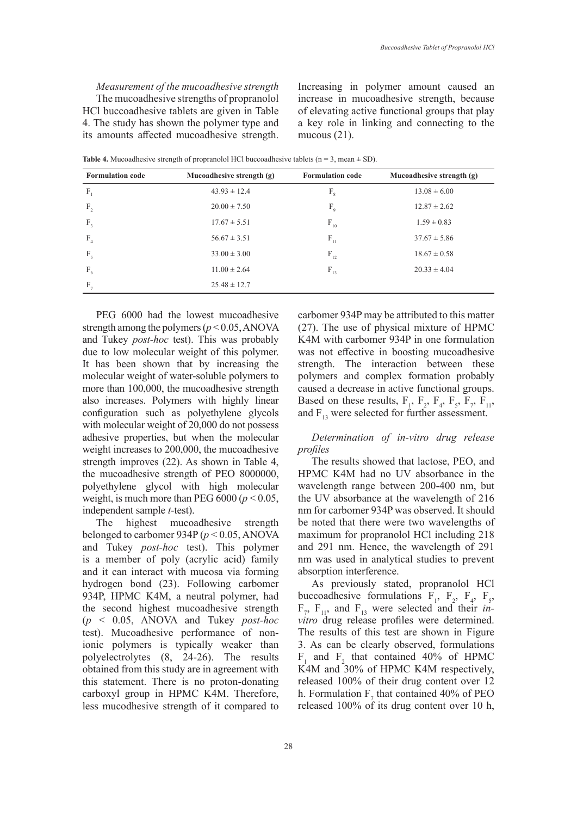*Measurement of the mucoadhesive strength* The mucoadhesive strengths of propranolol HCl buccoadhesive tablets are given in Table 4. The study has shown the polymer type and its amounts affected mucoadhesive strength.

Increasing in polymer amount caused an increase in mucoadhesive strength, because of elevating active functional groups that play a key role in linking and connecting to the mucous (21).

|                                                                             | Mucoadhesive strength (g) |
|-----------------------------------------------------------------------------|---------------------------|
| $F_1$<br>$43.93 \pm 12.4$<br>$13.08 \pm 6.00$<br>$F_{8}$                    |                           |
| F <sub>2</sub><br>$20.00 \pm 7.50$<br>F <sub>9</sub><br>$12.87 \pm 2.62$    |                           |
| $F_{3}$<br>$F_{10}$<br>$17.67 \pm 5.51$<br>$1.59 \pm 0.83$                  |                           |
| F <sub>4</sub><br>$\mathbf{F}_{11}$<br>$56.67 \pm 3.51$<br>$37.67 \pm 5.86$ |                           |
| F <sub>5</sub><br>$F_{12}$<br>$18.67 \pm 0.58$<br>$33.00 \pm 3.00$          |                           |
| $F_6$<br>$F_{13}$<br>$11.00 \pm 2.64$<br>$20.33 \pm 4.04$                   |                           |
| $F_{7}$<br>$25.48 \pm 12.7$                                                 |                           |

**Table 4.** Mucoadhesive strength of propranolol HCl buccoadhesive tablets ( $n = 3$ , mean  $\pm$  SD).

PEG 6000 had the lowest mucoadhesive strength among the polymers ( $p < 0.05$ , ANOVA and Tukey *post-hoc* test). This was probably due to low molecular weight of this polymer. It has been shown that by increasing the molecular weight of water-soluble polymers to more than 100,000, the mucoadhesive strength also increases. Polymers with highly linear configuration such as polyethylene glycols with molecular weight of 20,000 do not possess adhesive properties, but when the molecular weight increases to 200,000, the mucoadhesive strength improves (22). As shown in Table 4, the mucoadhesive strength of PEO 8000000, polyethylene glycol with high molecular weight, is much more than PEG  $6000 (p < 0.05)$ , independent sample *t*-test).

The highest mucoadhesive strength belonged to carbomer 934P (*p* < 0.05, ANOVA and Tukey *post-hoc* test). This polymer is a member of poly (acrylic acid) family and it can interact with mucosa via forming hydrogen bond (23). Following carbomer 934P, HPMC K4M, a neutral polymer, had the second highest mucoadhesive strength (*p* < 0.05, ANOVA and Tukey *post-hoc* test). Mucoadhesive performance of nonionic polymers is typically weaker than polyelectrolytes (8, 24-26). The results obtained from this study are in agreement with this statement. There is no proton-donating carboxyl group in HPMC K4M. Therefore, less mucodhesive strength of it compared to carbomer 934P may be attributed to this matter (27). The use of physical mixture of HPMC K4M with carbomer 934P in one formulation was not effective in boosting mucoadhesive strength. The interaction between these polymers and complex formation probably caused a decrease in active functional groups. Based on these results,  $F_1$ ,  $F_2$ ,  $F_4$ ,  $F_5$ ,  $F_7$ ,  $F_{11}$ , and  $F_{13}$  were selected for further assessment.

### *Determination of in-vitro drug release profiles*

The results showed that lactose, PEO, and HPMC K4M had no UV absorbance in the wavelength range between 200-400 nm, but the UV absorbance at the wavelength of 216 nm for carbomer 934P was observed. It should be noted that there were two wavelengths of maximum for propranolol HCl including 218 and 291 nm. Hence, the wavelength of 291 nm was used in analytical studies to prevent absorption interference.

As previously stated, propranolol HCl buccoadhesive formulations  $F_1$ ,  $F_2$ ,  $F_4$ ,  $F_5$ ,  $F_7$ ,  $F_{11}$ , and  $F_{13}$  were selected and their *invitro* drug release profiles were determined. The results of this test are shown in Figure 3. As can be clearly observed, formulations  $F_1$  and  $F_2$  that contained 40% of HPMC K4M and 30% of HPMC K4M respectively, released 100% of their drug content over 12 h. Formulation  $F_7$  that contained 40% of PEO released 100% of its drug content over 10 h,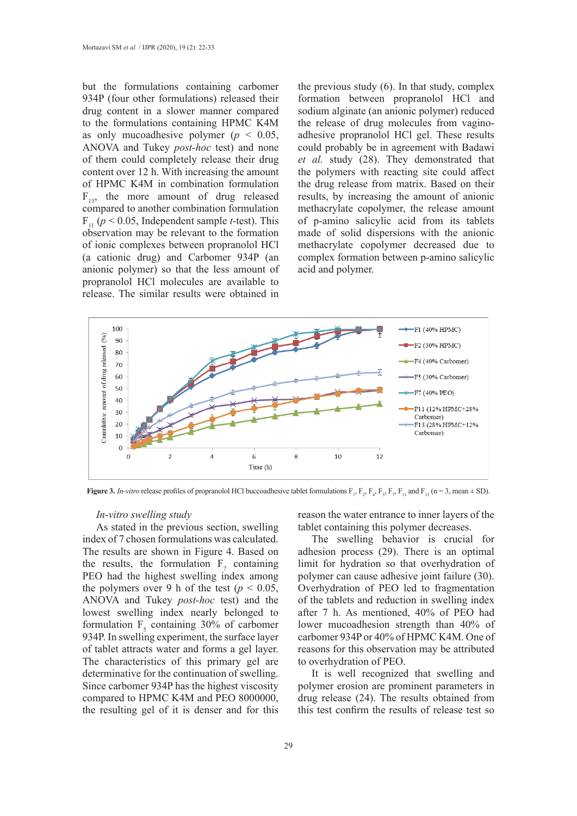but the formulations containing carbomer 934P (four other formulations) released their drug content in a slower manner compared to the formulations containing HPMC K4M as only mucoadhesive polymer ( $p < 0.05$ , ANOVA and Tukey *post-hoc* test) and none of them could completely release their drug content over 12 h. With increasing the amount of HPMC K4M in combination formulation  $F_{13}$ , the more amount of drug released compared to another combination formulation  $F_{11}$  ( $p < 0.05$ , Independent sample *t*-test). This observation may be relevant to the formation of ionic complexes between propranolol HCl (a cationic drug) and Carbomer 934P (an anionic polymer) so that the less amount of propranolol HCl molecules are available to release. The similar results were obtained in

the previous study (6). In that study, complex formation between propranolol HCl and sodium alginate (an anionic polymer) reduced the release of drug molecules from vaginoadhesive propranolol HCl gel. These results could probably be in agreement with Badawi *et al.* study (28). They demonstrated that the polymers with reacting site could affect the drug release from matrix. Based on their results, by increasing the amount of anionic methacrylate copolymer, the release amount of p-amino salicylic acid from its tablets made of solid dispersions with the anionic methacrylate copolymer decreased due to complex formation between p-amino salicylic acid and polymer.



**Figure 3.** *In-vitro* release profiles of propranolol HCl buccoadhesive tablet formulations  $F_1$ ,  $F_2$ ,  $F_3$ ,  $F_4$ ,  $F_5$ ,  $F_7$ ,  $F_{11}$  and  $F_{13}$  (n = 3, mean  $\pm$  SD).

### *In-vitro swelling study*

As stated in the previous section, swelling index of 7 chosen formulations was calculated. The results are shown in Figure 4. Based on the results, the formulation  $F_7$  containing PEO had the highest swelling index among the polymers over 9 h of the test ( $p < 0.05$ , ANOVA and Tukey *post-hoc* test) and the lowest swelling index nearly belonged to formulation  $F<sub>5</sub>$  containing 30% of carbomer 934P. In swelling experiment, the surface layer of tablet attracts water and forms a gel layer. The characteristics of this primary gel are determinative for the continuation of swelling. Since carbomer 934P has the highest viscosity compared to HPMC K4M and PEO 8000000, the resulting gel of it is denser and for this

reason the water entrance to inner layers of the tablet containing this polymer decreases.

The swelling behavior is crucial for adhesion process (29). There is an optimal limit for hydration so that overhydration of polymer can cause adhesive joint failure (30). Overhydration of PEO led to fragmentation of the tablets and reduction in swelling index after 7 h. As mentioned, 40% of PEO had lower mucoadhesion strength than 40% of carbomer 934P or 40% of HPMC K4M. One of reasons for this observation may be attributed to overhydration of PEO.

It is well recognized that swelling and polymer erosion are prominent parameters in drug release (24). The results obtained from this test confirm the results of release test so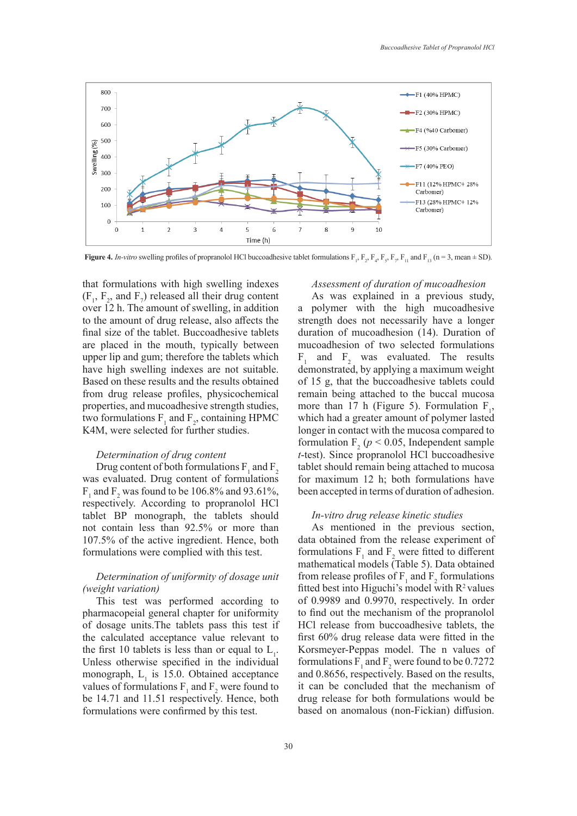

**Figure 4.** *In-vitro* swelling profiles of propranolol HCl buccoadhesive tablet formulations  $F_1$ ,  $F_2$ ,  $F_4$ ,  $F_5$ ,  $F_7$ ,  $F_{11}$  and  $F_{13}$  (n = 3, mean  $\pm$  SD).

that formulations with high swelling indexes  $(F_1, F_2, \text{ and } F_7)$  released all their drug content over 12 h. The amount of swelling, in addition to the amount of drug release, also affects the final size of the tablet. Buccoadhesive tablets are placed in the mouth, typically between upper lip and gum; therefore the tablets which have high swelling indexes are not suitable. Based on these results and the results obtained from drug release profiles, physicochemical properties, and mucoadhesive strength studies, two formulations  $F_1$  and  $F_2$ , containing HPMC K4M, were selected for further studies.

### *Determination of drug content*

Drug content of both formulations  $\mathrm{F}_1$  and  $\mathrm{F}_2$ was evaluated. Drug content of formulations  $F_1$  and  $F_2$  was found to be 106.8% and 93.61%, respectively. According to propranolol HCl tablet BP monograph, the tablets should not contain less than 92.5% or more than 107.5% of the active ingredient. Hence, both formulations were complied with this test.

# *Determination of uniformity of dosage unit (weight variation)*

This test was performed according to pharmacopeial general chapter for uniformity of dosage units.The tablets pass this test if the calculated acceptance value relevant to the first 10 tablets is less than or equal to  $L_1$ . Unless otherwise specified in the individual monograph,  $L<sub>1</sub>$  is 15.0. Obtained acceptance values of formulations  $F_1$  and  $F_2$  were found to be 14.71 and 11.51 respectively. Hence, both formulations were confirmed by this test.

### *Assessment of duration of mucoadhesion*

As was explained in a previous study, a polymer with the high mucoadhesive strength does not necessarily have a longer duration of mucoadhesion (14). Duration of mucoadhesion of two selected formulations  $F_1$  and  $F_2$  was evaluated. The results demonstrated, by applying a maximum weight of 15 g, that the buccoadhesive tablets could remain being attached to the buccal mucosa more than 17 h (Figure 5). Formulation  $F_1$ , which had a greater amount of polymer lasted longer in contact with the mucosa compared to formulation  $F_2$  ( $p < 0.05$ , Independent sample *t*-test). Since propranolol HCl buccoadhesive tablet should remain being attached to mucosa for maximum 12 h; both formulations have been accepted in terms of duration of adhesion.

#### *In-vitro drug release kinetic studies*

As mentioned in the previous section, data obtained from the release experiment of formulations  $F_1$  and  $F_2$  were fitted to different mathematical models (Table 5). Data obtained from release profiles of  $F_1$  and  $F_2$  formulations fitted best into Higuchi's model with  $R^2$  values of 0.9989 and 0.9970, respectively. In order to find out the mechanism of the propranolol HCl release from buccoadhesive tablets, the first 60% drug release data were fitted in the Korsmeyer-Peppas model. The n values of formulations  $F_1$  and  $F_2$  were found to be 0.7272 and 0.8656, respectively. Based on the results, it can be concluded that the mechanism of drug release for both formulations would be based on anomalous (non-Fickian) diffusion.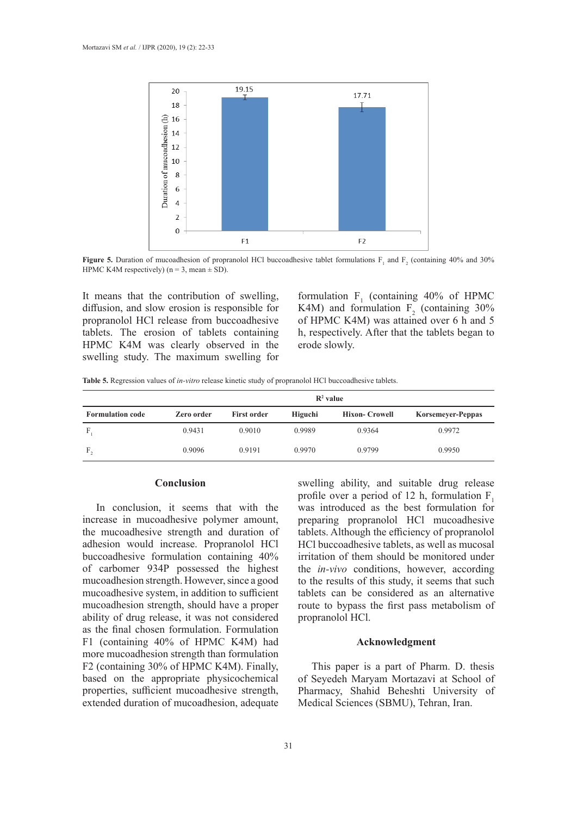

**Figure 5.** Duration of mucoadhesion of propranolol HCl buccoadhesive tablet formulations  $F_1$  and  $F_2$  (containing 40% and 30%) HPMC K4M respectively) ( $n = 3$ , mean  $\pm$  SD).

It means that the contribution of swelling, diffusion, and slow erosion is responsible for propranolol HCl release from buccoadhesive tablets. The erosion of tablets containing HPMC K4M was clearly observed in the swelling study. The maximum swelling for formulation  $F_1$  (containing 40% of HPMC K4M) and formulation  $F_2$  (containing 30% of HPMC K4M) was attained over 6 h and 5 h, respectively. After that the tablets began to erode slowly.

|  | Table 5. Regression values of in-vitro release kinetic study of propranolol HCl buccoadhesive tablets. |  |  |  |
|--|--------------------------------------------------------------------------------------------------------|--|--|--|
|  |                                                                                                        |  |  |  |

|                         | $\mathbb{R}^2$ value |                    |         |                      |                          |  |  |
|-------------------------|----------------------|--------------------|---------|----------------------|--------------------------|--|--|
| <b>Formulation code</b> | Zero order           | <b>First order</b> | Higuchi | <b>Hixon-Crowell</b> | <b>Korsemeyer-Peppas</b> |  |  |
| F                       | 0.9431               | 0.9010             | 0.9989  | 0.9364               | 0.9972                   |  |  |
| F.                      | 0.9096               | 0.9191             | 0.9970  | 0.9799               | 0.9950                   |  |  |

#### **Conclusion**

In conclusion, it seems that with the increase in mucoadhesive polymer amount, the mucoadhesive strength and duration of adhesion would increase. Propranolol HCl buccoadhesive formulation containing 40% of carbomer 934P possessed the highest mucoadhesion strength. However, since a good mucoadhesive system, in addition to sufficient mucoadhesion strength, should have a proper ability of drug release, it was not considered as the final chosen formulation. Formulation F1 (containing 40% of HPMC K4M) had more mucoadhesion strength than formulation F2 (containing 30% of HPMC K4M). Finally, based on the appropriate physicochemical properties, sufficient mucoadhesive strength, extended duration of mucoadhesion, adequate swelling ability, and suitable drug release profile over a period of 12 h, formulation  $F_1$ was introduced as the best formulation for preparing propranolol HCl mucoadhesive tablets. Although the efficiency of propranolol HCl buccoadhesive tablets, as well as mucosal irritation of them should be monitored under the *in-vivo* conditions, however, according to the results of this study, it seems that such tablets can be considered as an alternative route to bypass the first pass metabolism of propranolol HCl.

### **Acknowledgment**

This paper is a part of Pharm. D. thesis of Seyedeh Maryam Mortazavi at School of Pharmacy, Shahid Beheshti University of Medical Sciences (SBMU), Tehran, Iran.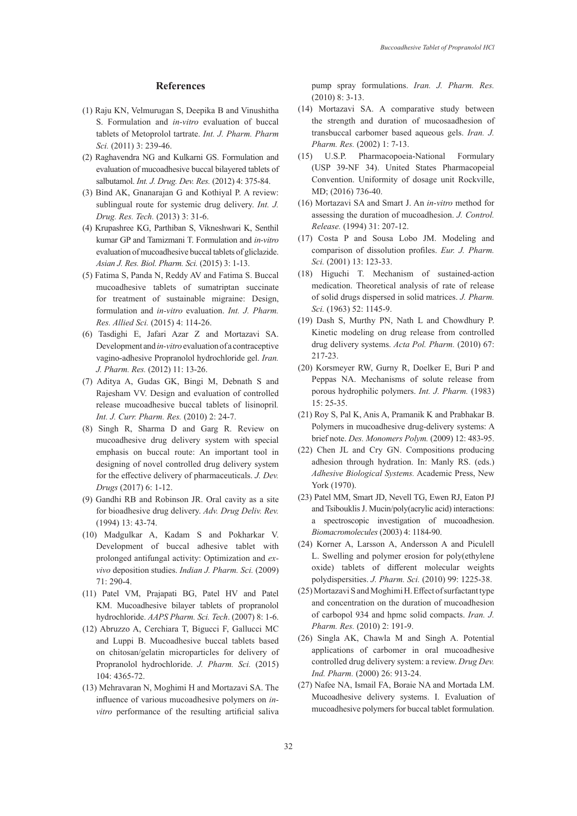#### **References**

- (1) Raju KN, Velmurugan S, Deepika B and Vinushitha S. Formulation and *in-vitro* evaluation of buccal tablets of Metoprolol tartrate. *Int. J. Pharm. Pharm Sci.* (2011) 3: 239-46.
- (2) Raghavendra NG and Kulkarni GS. Formulation and evaluation of mucoadhesive buccal bilayered tablets of salbutamol. *Int. J. Drug. Dev. Res.* (2012) 4: 375-84.
- (3) Bind AK, Gnanarajan G and Kothiyal P. A review: sublingual route for systemic drug delivery. *Int. J. Drug. Res. Tech.* (2013) 3: 31-6.
- (4) Krupashree KG, Parthiban S, Vikneshwari K, Senthil kumar GP and Tamizmani T. Formulation and *in-vitro* evaluation of mucoadhesive buccal tablets of gliclazide. *Asian J. Res. Biol. Pharm. Sci.* (2015) 3: 1-13.
- (5) Fatima S, Panda N, Reddy AV and Fatima S. Buccal mucoadhesive tablets of sumatriptan succinate for treatment of sustainable migraine: Design, formulation and *in-vitro* evaluation. *Int. J. Pharm. Res. Allied Sci.* (2015) 4: 114-26.
- (6) Tasdighi E, Jafari Azar Z and Mortazavi SA. Development and *in-vitro* evaluation of a contraceptive vagino-adhesive Propranolol hydrochloride gel. *Iran. J. Pharm. Res.* (2012) 11: 13-26.
- (7) Aditya A, Gudas GK, Bingi M, Debnath S and Rajesham VV. Design and evaluation of controlled release mucoadhesive buccal tablets of lisinopril*. Int. J. Curr. Pharm. Res.* (2010) 2: 24-7.
- (8) Singh R, Sharma D and Garg R. Review on mucoadhesive drug delivery system with special emphasis on buccal route: An important tool in designing of novel controlled drug delivery system for the effective delivery of pharmaceuticals. *J. Dev. Drugs* (2017) 6: 1-12.
- (9) Gandhi RB and Robinson JR. Oral cavity as a site for bioadhesive drug delivery. *Adv. Drug Deliv. Rev.* (1994) 13: 43-74.
- (10) Madgulkar A, Kadam S and Pokharkar V. Development of buccal adhesive tablet with prolonged antifungal activity: Optimization and *exvivo* deposition studies. *Indian J. Pharm. Sci.* (2009) 71: 290-4.
- (11) Patel VM, Prajapati BG, Patel HV and Patel KM. Mucoadhesive bilayer tablets of propranolol hydrochloride. *AAPS Pharm. Sci. Tech*. (2007) 8: 1-6.
- (12) Abruzzo A, Cerchiara T, Bigucci F, Gallucci MC and Luppi B. Mucoadhesive buccal tablets based on chitosan/gelatin microparticles for delivery of Propranolol hydrochloride. *J. Pharm. Sci.* (2015) 104: 4365-72.
- (13) Mehravaran N, Moghimi H and Mortazavi SA. The influence of various mucoadhesive polymers on *invitro* performance of the resulting artificial saliva

pump spray formulations. *Iran. J. Pharm. Res.* (2010) 8: 3-13.

- (14) Mortazavi SA. A comparative study between the strength and duration of mucosaadhesion of transbuccal carbomer based aqueous gels. *Iran. J. Pharm. Res.* (2002) 1: 7-13.
- (15) U.S.P. Pharmacopoeia-National Formulary (USP 39-NF 34). United States Pharmacopeial Convention. Uniformity of dosage unit Rockville, MD; (2016) 736-40.
- (16) Mortazavi SA and Smart J. An *in-vitro* method for assessing the duration of mucoadhesion. *J. Control. Release.* (1994) 31: 207-12.
- (17) Costa P and Sousa Lobo JM. Modeling and comparison of dissolution profiles. *Eur. J. Pharm. Sci.* (2001) 13: 123-33.
- (18) Higuchi T. Mechanism of sustained-action medication. Theoretical analysis of rate of release of solid drugs dispersed in solid matrices. *J. Pharm. Sci.* (1963) 52: 1145-9.
- (19) Dash S, Murthy PN, Nath L and Chowdhury P. Kinetic modeling on drug release from controlled drug delivery systems. *Acta Pol. Pharm.* (2010) 67: 217-23.
- (20) Korsmeyer RW, Gurny R, Doelker E, Buri P and Peppas NA. Mechanisms of solute release from porous hydrophilic polymers. *Int. J. Pharm.* (1983) 15: 25-35.
- (21) Roy S, Pal K, Anis A, Pramanik K and Prabhakar B. Polymers in mucoadhesive drug-delivery systems: A brief note. *Des. Monomers Polym.* (2009) 12: 483-95.
- (22) Chen JL and Cry GN. Compositions producing adhesion through hydration. In: Manly RS. (eds.) *Adhesive Biological Systems.* Academic Press, New York (1970).
- (23) Patel MM, Smart JD, Nevell TG, Ewen RJ, Eaton PJ and Tsibouklis J. Mucin/poly(acrylic acid) interactions: a spectroscopic investigation of mucoadhesion. *Biomacromolecules* (2003) 4: 1184-90.
- (24) Korner A, Larsson A, Andersson A and Piculell L. Swelling and polymer erosion for poly(ethylene oxide) tablets of different molecular weights polydispersities. *J. Pharm. Sci.* (2010) 99: 1225-38.
- (25) Mortazavi S and Moghimi H. Effect of surfactant type and concentration on the duration of mucoadhesion of carbopol 934 and hpmc solid compacts. *Iran. J. Pharm. Res.* (2010) 2: 191-9.
- (26) Singla AK, Chawla M and Singh A. Potential applications of carbomer in oral mucoadhesive controlled drug delivery system: a review. *Drug Dev. Ind. Pharm.* (2000) 26: 913-24.
- (27) Nafee NA, Ismail FA, Boraie NA and Mortada LM. Mucoadhesive delivery systems. I. Evaluation of mucoadhesive polymers for buccal tablet formulation.